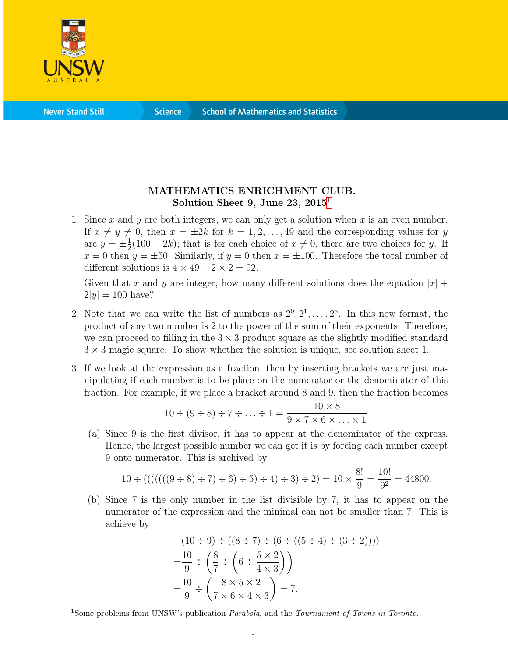

**Science** 

## MATHEMATICS ENRICHMENT CLUB. Solution Sheet 9, June 23,  $2015<sup>1</sup>$  $2015<sup>1</sup>$  $2015<sup>1</sup>$

1. Since x and y are both integers, we can only get a solution when x is an even number. If  $x \neq y \neq 0$ , then  $x = \pm 2k$  for  $k = 1, 2, \ldots, 49$  and the corresponding values for y are  $y = \pm \frac{1}{2}$  $\frac{1}{2}(100-2k)$ ; that is for each choice of  $x \neq 0$ , there are two choices for y. If  $x = 0$  then  $y = \pm 50$ . Similarly, if  $y = 0$  then  $x = \pm 100$ . Therefore the total number of different solutions is  $4 \times 49 + 2 \times 2 = 92$ .

Given that x and y are integer, how many different solutions does the equation  $|x|$  +  $2|y| = 100$  have?

- 2. Note that we can write the list of numbers as  $2^0, 2^1, \ldots, 2^8$ . In this new format, the product of any two number is 2 to the power of the sum of their exponents. Therefore, we can proceed to filling in the  $3 \times 3$  product square as the slightly modified standard  $3 \times 3$  magic square. To show whether the solution is unique, see solution sheet 1.
- 3. If we look at the expression as a fraction, then by inserting brackets we are just manipulating if each number is to be place on the numerator or the denominator of this fraction. For example, if we place a bracket around 8 and 9, then the fraction becomes

$$
10 \div (9 \div 8) \div 7 \div \ldots \div 1 = \frac{10 \times 8}{9 \times 7 \times 6 \times \ldots \times 1}
$$

(a) Since 9 is the first divisor, it has to appear at the denominator of the express. Hence, the largest possible number we can get it is by forcing each number except 9 onto numerator. This is archived by

$$
10 \div ((((((9 \div 8) \div 7) \div 6) \div 5) \div 4) \div 3) \div 2) = 10 \times \frac{8!}{9} = \frac{10!}{9^2} = 44800.
$$

(b) Since 7 is the only number in the list divisible by 7, it has to appear on the numerator of the expression and the minimal can not be smaller than 7. This is achieve by

$$
(10 \div 9) \div ((8 \div 7) \div (6 \div ((5 \div 4) \div (3 \div 2))))
$$
  
=  $\frac{10}{9} \div \left(\frac{8}{7} \div \left(6 \div \frac{5 \times 2}{4 \times 3}\right)\right)$   
=  $\frac{10}{9} \div \left(\frac{8 \times 5 \times 2}{7 \times 6 \times 4 \times 3}\right) = 7.$ 

<span id="page-0-0"></span><sup>&</sup>lt;sup>1</sup>Some problems from UNSW's publication *Parabola*, and the *Tournament of Towns in Toronto*.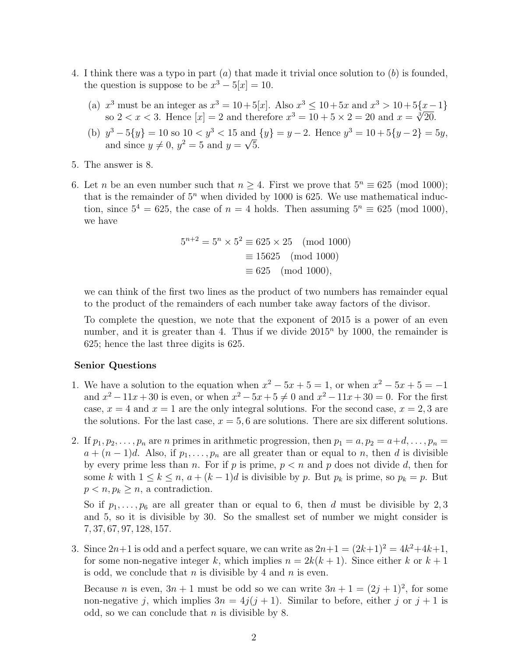- 4. I think there was a typo in part  $(a)$  that made it trivial once solution to  $(b)$  is founded, the question is suppose to be  $x^3 - 5|x| = 10$ .
	- (a)  $x^3$  must be an integer as  $x^3 = 10 + 5[x]$ . Also  $x^3 \le 10 + 5x$  and  $x^3 > 10 + 5\{x 1\}$ x<sup>o</sup> must be an integer as  $x^3 = 10 + 5[x]$ . Also  $x^3 \le 10 + 5x$  and  $x^3 > 10 + 5\{x - 5\}$ <br>so  $2 < x < 3$ . Hence  $[x] = 2$  and therefore  $x^3 = 10 + 5 \times 2 = 20$  and  $x = \sqrt[3]{20}$ .
	- (b)  $y^3 5\{y\} = 10$  so  $10 < y^3 < 15$  and  $\{y\} = y 2$ . Hence  $y^3 = 10 + 5\{y 2\} = 5y$ , and since  $y \neq 0$ ,  $y^2 = 5$  and  $y = \sqrt{5}$ .
- 5. The answer is 8.
- 6. Let *n* be an even number such that  $n > 4$ . First we prove that  $5^n \equiv 625 \pmod{1000}$ ; that is the remainder of  $5<sup>n</sup>$  when divided by 1000 is 625. We use mathematical induction, since  $5^4 = 625$ , the case of  $n = 4$  holds. Then assuming  $5^n \equiv 625 \pmod{1000}$ , we have

$$
5^{n+2} = 5^n \times 5^2 \equiv 625 \times 25 \pmod{1000}
$$

$$
\equiv 15625 \pmod{1000}
$$

$$
\equiv 625 \pmod{1000},
$$

we can think of the first two lines as the product of two numbers has remainder equal to the product of the remainders of each number take away factors of the divisor.

To complete the question, we note that the exponent of 2015 is a power of an even number, and it is greater than 4. Thus if we divide  $2015<sup>n</sup>$  by 1000, the remainder is 625; hence the last three digits is 625.

## Senior Questions

- 1. We have a solution to the equation when  $x^2 5x + 5 = 1$ , or when  $x^2 5x + 5 = -1$ and  $x^2 - 11x + 30$  is even, or when  $x^2 - 5x + 5 \neq 0$  and  $x^2 - 11x + 30 = 0$ . For the first case,  $x = 4$  and  $x = 1$  are the only integral solutions. For the second case,  $x = 2, 3$  are the solutions. For the last case,  $x = 5, 6$  are solutions. There are six different solutions.
- 2. If  $p_1, p_2, \ldots, p_n$  are n primes in arithmetic progression, then  $p_1 = a, p_2 = a+d, \ldots, p_n =$  $a + (n-1)d$ . Also, if  $p_1, \ldots, p_n$  are all greater than or equal to n, then d is divisible by every prime less than n. For if p is prime,  $p < n$  and p does not divide d, then for some k with  $1 \leq k \leq n$ ,  $a + (k-1)d$  is divisible by p. But  $p_k$  is prime, so  $p_k = p$ . But  $p < n, p_k \geq n$ , a contradiction.

So if  $p_1, \ldots, p_6$  are all greater than or equal to 6, then d must be divisible by 2,3 and 5, so it is divisible by 30. So the smallest set of number we might consider is 7, 37, 67, 97, 128, 157.

3. Since  $2n+1$  is odd and a perfect square, we can write as  $2n+1 = (2k+1)^2 = 4k^2+4k+1$ , for some non-negative integer k, which implies  $n = 2k(k + 1)$ . Since either k or  $k + 1$ is odd, we conclude that  $n$  is divisible by 4 and  $n$  is even.

Because *n* is even,  $3n + 1$  must be odd so we can write  $3n + 1 = (2j + 1)^2$ , for some non-negative j, which implies  $3n = 4j(j + 1)$ . Similar to before, either j or  $j + 1$  is odd, so we can conclude that  $n$  is divisible by 8.